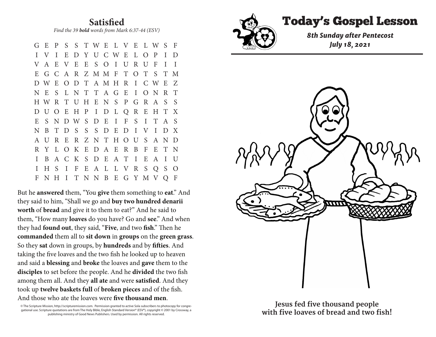**Satisfied** *Find the 39 bold words from Mark 6:37-44 (ESV)* 

G E P S S T W E L V E L W S F I V I E D Y U C W E L O P I D V A E V E E S O I U R U F I I E G C A R Z M M F T O T S T M D W E O D T A M H R I C W E Z N E S L N T T A G E I O N R T H W R T U H E N S P G R A S S D U O E H P I D L Q R E H T X E S N D W S D E I F S I T A S N B T D S S S D E D I V I D X A U R E R Z N T H O U S A N D R Y L O K E D A E R B F E T N I B A C K S D E A T I E A I U I H S I F E A L L V R S Q S O F N H I T N N B E G Y M V Q F

But he **answered** them, "You **give** them something to **eat**." And they said to him, "Shall we go and **buy two hundred denarii worth** of **bread** and give it to them to eat?" And he said to them, "How many **loaves** do you have? Go and **see**." And when they had **found out**, they said, "**Five**, and two **fish**." Then he **commanded** them all to **sit down** in **groups** on the **green grass**. So they **sat** down in groups, by **hundreds** and by **fifties**. And taking the five loaves and the two fish he looked up to heaven and said a **blessing** and **broke** the loaves and **gave** them to the **disciples** to set before the people. And he **divided** the two fish among them all. And they **all ate** and were **satisfied**. And they took up **twelve baskets full** of **broken pieces** and of the fish. And those who ate the loaves were **five thousand men**.

© The Scripture Mission, http://scripturemission.com. Permission granted to active Sola subscribers to photocopy for congregational use. Scripture quotations are from The Holy Bible, English Standard Version® (ESV®), copyright © 2001 by Crossway, a publishing ministry of Good News Publishers. Used by permission. All rights reserved.



I E D Y I E D Y U C W E L O P I D Y U C W E L O P I D Y U C W E L O P I D Y U C W E L O

Today's Gospel Lesson **Satisfied**



And those who ate the loaves were **five thousand men**. © The Scripture Mission, http://scripturemission.com. Permission granted to active Sola subscribers to photocopy for congre-**Jesus fed five thousand people**  with five loaves of bread and two fish!